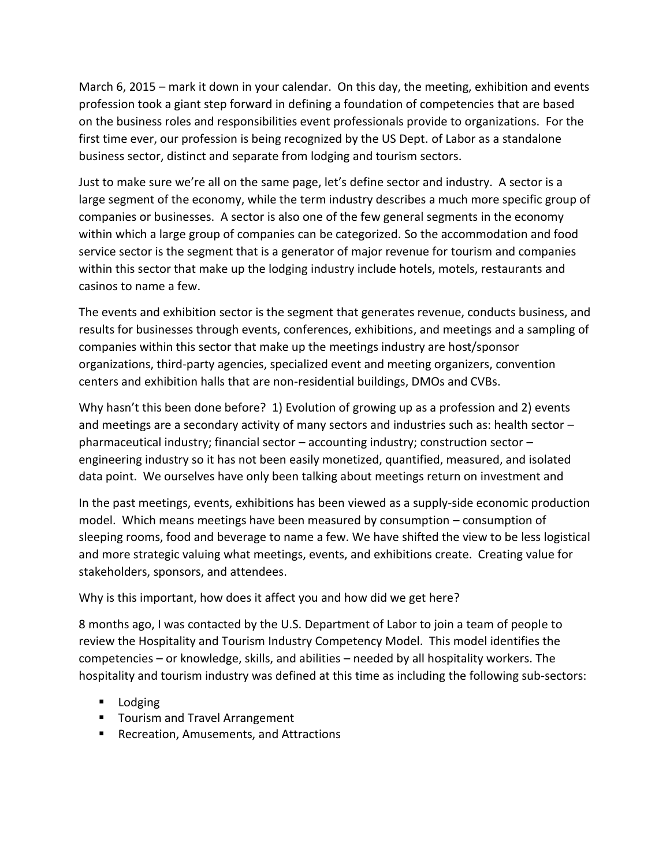March 6, 2015 – mark it down in your calendar. On this day, the meeting, exhibition and events profession took a giant step forward in defining a foundation of competencies that are based on the business roles and responsibilities event professionals provide to organizations. For the first time ever, our profession is being recognized by the US Dept. of Labor as a standalone business sector, distinct and separate from lodging and tourism sectors.

Just to make sure we're all on the same page, let's define sector and industry. A sector is a large segment of the economy, while the term industry describes a much more specific group of companies or businesses. A sector is also one of the few general segments in the economy within which a large group of companies can be categorized. So the accommodation and food service sector is the segment that is a generator of major revenue for tourism and companies within this sector that make up the lodging industry include hotels, motels, restaurants and casinos to name a few.

The events and exhibition sector is the segment that generates revenue, conducts business, and results for businesses through events, conferences, exhibitions, and meetings and a sampling of companies within this sector that make up the meetings industry are host/sponsor organizations, third-party agencies, specialized event and meeting organizers, convention centers and exhibition halls that are non-residential buildings, DMOs and CVBs.

Why hasn't this been done before? 1) Evolution of growing up as a profession and 2) events and meetings are a secondary activity of many sectors and industries such as: health sector – pharmaceutical industry; financial sector – accounting industry; construction sector – engineering industry so it has not been easily monetized, quantified, measured, and isolated data point. We ourselves have only been talking about meetings return on investment and

In the past meetings, events, exhibitions has been viewed as a supply-side economic production model. Which means meetings have been measured by consumption – consumption of sleeping rooms, food and beverage to name a few. We have shifted the view to be less logistical and more strategic valuing what meetings, events, and exhibitions create. Creating value for stakeholders, sponsors, and attendees.

## Why is this important, how does it affect you and how did we get here?

8 months ago, I was contacted by the U.S. Department of Labor to join a team of people to review the Hospitality and Tourism Industry Competency Model. This model identifies the competencies – or knowledge, skills, and abilities – needed by all hospitality workers. The hospitality and tourism industry was defined at this time as including the following sub-sectors:

- **Lodging**
- **Team** 3 Tourism and Travel Arrangement
- **Recreation, Amusements, and Attractions**